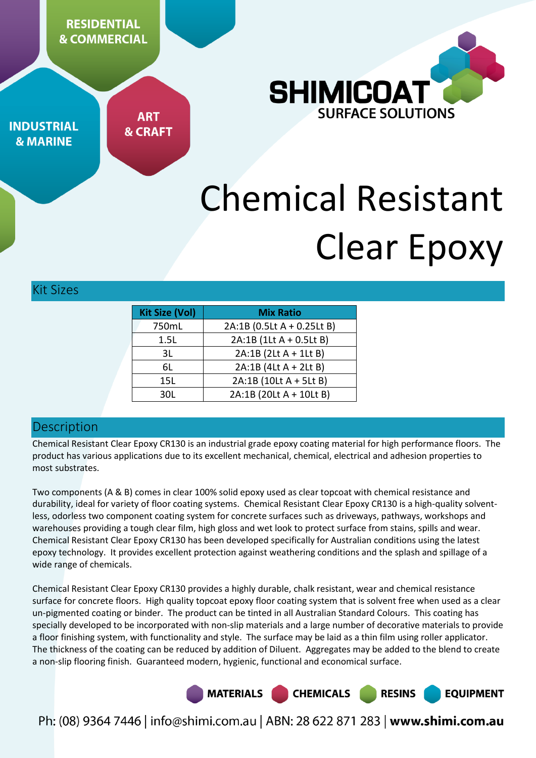**RESIDENTIAL & COMMERCIAL** 



**INDUSTRIAL & MARINE** 

**ART & CRAFT** 

# Chemical Resistant Clear Epoxy

Kit Sizes

| <b>Kit Size (Vol)</b> | <b>Mix Ratio</b>           |  |
|-----------------------|----------------------------|--|
| 750mL                 | 2A:1B (0.5Lt A + 0.25Lt B) |  |
| 1.5L                  | 2A:1B (1Lt A + 0.5Lt B)    |  |
| 3L                    | 2A:1B (2Lt A + 1Lt B)      |  |
| 6L                    | 2A:1B (4Lt A + 2Lt B)      |  |
| 15L                   | 2A:1B (10Lt A + 5Lt B)     |  |
| 30L                   | 2A:1B (20Lt A + 10Lt B)    |  |

# **Description**

Chemical Resistant Clear Epoxy CR130 is an industrial grade epoxy coating material for high performance floors. The product has various applications due to its excellent mechanical, chemical, electrical and adhesion properties to most substrates.

Two components (A & B) comes in clear 100% solid epoxy used as clear topcoat with chemical resistance and durability, ideal for variety of floor coating systems. Chemical Resistant Clear Epoxy CR130 is a high-quality solventless, odorless two component coating system for concrete surfaces such as driveways, pathways, workshops and warehouses providing a tough clear film, high gloss and wet look to protect surface from stains, spills and wear. Chemical Resistant Clear Epoxy CR130 has been developed specifically for Australian conditions using the latest epoxy technology. It provides excellent protection against weathering conditions and the splash and spillage of a wide range of chemicals.

Chemical Resistant Clear Epoxy CR130 provides a highly durable, chalk resistant, wear and chemical resistance surface for concrete floors. High quality topcoat epoxy floor coating system that is solvent free when used as a clear un-pigmented coating or binder. The product can be tinted in all Australian Standard Colours. This coating has specially developed to be incorporated with non-slip materials and a large number of decorative materials to provide a floor finishing system, with functionality and style. The surface may be laid as a thin film using roller applicator. The thickness of the coating can be reduced by addition of Diluent. Aggregates may be added to the blend to create a non-slip flooring finish. Guaranteed modern, hygienic, functional and economical surface.

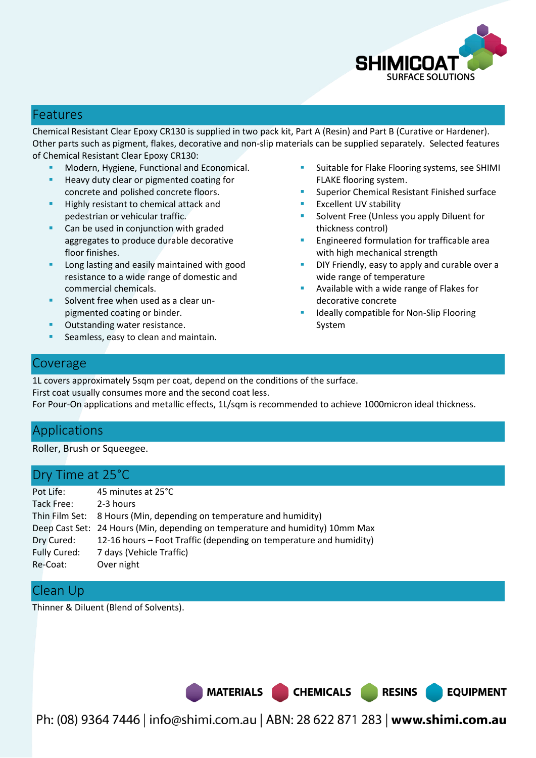

#### Features

Chemical Resistant Clear Epoxy CR130 is supplied in two pack kit, Part A (Resin) and Part B (Curative or Hardener). Other parts such as pigment, flakes, decorative and non-slip materials can be supplied separately. Selected features of Chemical Resistant Clear Epoxy CR130:

- Modern, Hygiene, Functional and Economical.
- Heavy duty clear or pigmented coating for concrete and polished concrete floors.
- **Highly resistant to chemical attack and** pedestrian or vehicular traffic.
- **Can be used in conjunction with graded** aggregates to produce durable decorative floor finishes.
- Long lasting and easily maintained with good resistance to a wide range of domestic and commercial chemicals.
- **Solvent free when used as a clear un**pigmented coating or binder.
- **Outstanding water resistance.**
- Seamless, easy to clean and maintain.
- Suitable for Flake Flooring systems, see SHIMI FLAKE flooring system.
- Superior Chemical Resistant Finished surface
- Excellent UV stability
- Solvent Free (Unless you apply Diluent for thickness control)
- Engineered formulation for trafficable area with high mechanical strength
- DIY Friendly, easy to apply and curable over a wide range of temperature
- Available with a wide range of Flakes for decorative concrete
- Ideally compatible for Non-Slip Flooring System

**EQUIPMENT** 

#### Coverage

1L covers approximately 5sqm per coat, depend on the conditions of the surface. First coat usually consumes more and the second coat less. For Pour-On applications and metallic effects, 1L/sqm is recommended to achieve 1000micron ideal thickness.

# Applications

Roller, Brush or Squeegee.

# Dry Time at 25°C

| Pot Life:    | 45 minutes at 25°C                                                            |
|--------------|-------------------------------------------------------------------------------|
| Tack Free:   | 2-3 hours                                                                     |
|              | Thin Film Set: 8 Hours (Min, depending on temperature and humidity)           |
|              | Deep Cast Set: 24 Hours (Min, depending on temperature and humidity) 10mm Max |
| Dry Cured:   | 12-16 hours – Foot Traffic (depending on temperature and humidity)            |
| Fully Cured: | 7 days (Vehicle Traffic)                                                      |
| Re-Coat:     | Over night                                                                    |

## Clean Up

Thinner & Diluent (Blend of Solvents).

MATERIALS CHEMICALS RESINS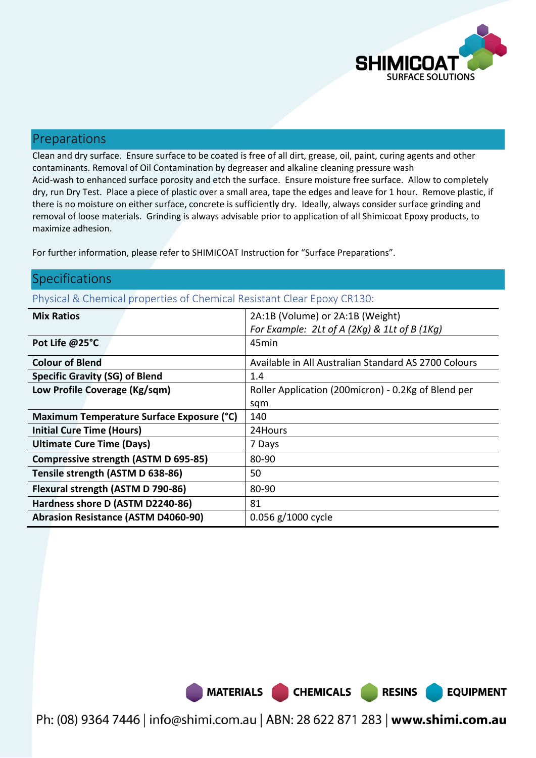

**EQUIPMENT** 

## Preparations

Clean and dry surface. Ensure surface to be coated is free of all dirt, grease, oil, paint, curing agents and other contaminants. Removal of Oil Contamination by degreaser and alkaline cleaning pressure wash Acid-wash to enhanced surface porosity and etch the surface. Ensure moisture free surface. Allow to completely dry, run Dry Test. Place a piece of plastic over a small area, tape the edges and leave for 1 hour. Remove plastic, if there is no moisture on either surface, concrete is sufficiently dry. Ideally, always consider surface grinding and removal of loose materials. Grinding is always advisable prior to application of all Shimicoat Epoxy products, to maximize adhesion.

For further information, please refer to SHIMICOAT Instruction for "Surface Preparations".

## Specifications

Physical & Chemical properties of Chemical Resistant Clear Epoxy CR130:

| <b>Mix Ratios</b>                           | 2A:1B (Volume) or 2A:1B (Weight)                     |
|---------------------------------------------|------------------------------------------------------|
|                                             | For Example: 2Lt of A (2Kg) & 1Lt of B (1Kg)         |
| Pot Life @25°C                              | 45min                                                |
| <b>Colour of Blend</b>                      | Available in All Australian Standard AS 2700 Colours |
| <b>Specific Gravity (SG) of Blend</b>       | 1.4                                                  |
| Low Profile Coverage (Kg/sqm)               | Roller Application (200micron) - 0.2Kg of Blend per  |
|                                             | sqm                                                  |
| Maximum Temperature Surface Exposure (°C)   | 140                                                  |
| <b>Initial Cure Time (Hours)</b>            | 24Hours                                              |
| <b>Ultimate Cure Time (Days)</b>            | 7 Days                                               |
| <b>Compressive strength (ASTM D 695-85)</b> | 80-90                                                |
| Tensile strength (ASTM D 638-86)            | 50                                                   |
| Flexural strength (ASTM D 790-86)           | 80-90                                                |
| Hardness shore D (ASTM D2240-86)            | 81                                                   |
| <b>Abrasion Resistance (ASTM D4060-90)</b>  | 0.056 g/1000 cycle                                   |

MATERIALS CHEMICALS RESINS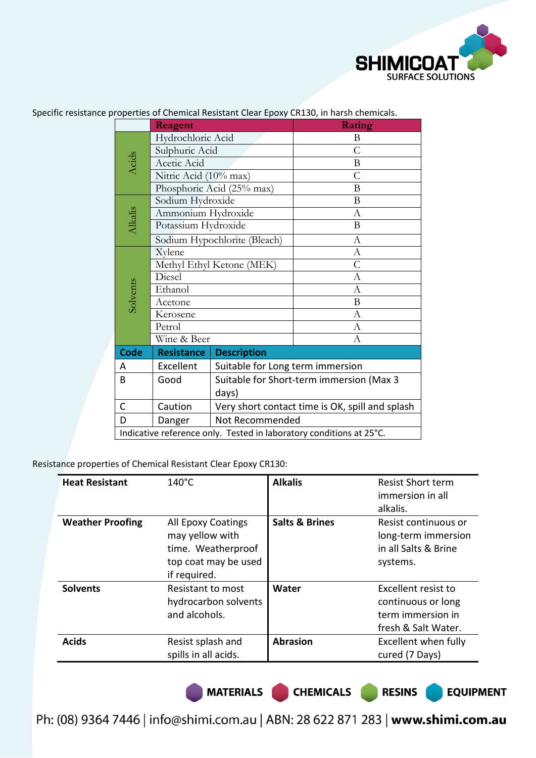

|                              | Reagent                                                             |                                                 | Rating           |  |  |
|------------------------------|---------------------------------------------------------------------|-------------------------------------------------|------------------|--|--|
|                              | Hydrochloric Acid                                                   |                                                 | B                |  |  |
|                              | Sulphuric Acid                                                      |                                                 | $\mathcal{C}$    |  |  |
| Acids                        | Acetic Acid                                                         |                                                 | B                |  |  |
|                              | Nitric Acid (10% max)                                               |                                                 | $\overline{C}$   |  |  |
|                              |                                                                     | Phosphoric Acid (25% max)                       | B                |  |  |
|                              | Sodium Hydroxide                                                    |                                                 | B                |  |  |
|                              | Ammonium Hydroxide                                                  |                                                 | $\mathbf{A}$     |  |  |
| Alkalis                      | Potassium Hydroxide                                                 |                                                 | B                |  |  |
| Sodium Hypochlorite (Bleach) |                                                                     |                                                 | A                |  |  |
|                              | Xylene                                                              |                                                 | $\mathbf{A}$     |  |  |
|                              | Methyl Ethyl Ketone (MEK)                                           |                                                 | $\mathsf{C}$     |  |  |
|                              | Diesel                                                              |                                                 | A                |  |  |
|                              | Solvents<br>Ethanol<br>Acetone<br>Kerosene<br>Petrol                |                                                 | $\mathbf{A}$     |  |  |
|                              |                                                                     |                                                 | B                |  |  |
|                              |                                                                     |                                                 | $\boldsymbol{A}$ |  |  |
|                              |                                                                     |                                                 | А                |  |  |
|                              | Wine & Beer                                                         |                                                 | $\overline{A}$   |  |  |
| <b>Code</b>                  | <b>Resistance</b>                                                   | <b>Description</b>                              |                  |  |  |
| A                            | Excellent                                                           | Suitable for Long term immersion                |                  |  |  |
| B                            | Good                                                                | Suitable for Short-term immersion (Max 3        |                  |  |  |
|                              | days)                                                               |                                                 |                  |  |  |
| C                            | Caution                                                             | Very short contact time is OK, spill and splash |                  |  |  |
| D                            | Danger                                                              | Not Recommended                                 |                  |  |  |
|                              | Indicative reference only. Tested in laboratory conditions at 25°C. |                                                 |                  |  |  |

Specific resistance properties of Chemical Resistant Clear Epoxy CR130, in harsh chemicals.

Resistance properties of Chemical Resistant Clear Epoxy CR130:

| <b>Heat Resistant</b>   | $140^{\circ}$ C                                                                                     | <b>Alkalis</b>            | <b>Resist Short term</b><br>immersion in all<br>alkalis.                              |
|-------------------------|-----------------------------------------------------------------------------------------------------|---------------------------|---------------------------------------------------------------------------------------|
| <b>Weather Proofing</b> | All Epoxy Coatings<br>may yellow with<br>time. Weatherproof<br>top coat may be used<br>if required. | <b>Salts &amp; Brines</b> | Resist continuous or<br>long-term immersion<br>in all Salts & Brine<br>systems.       |
| <b>Solvents</b>         | Resistant to most<br>hydrocarbon solvents<br>and alcohols.                                          | Water                     | Excellent resist to<br>continuous or long<br>term immersion in<br>fresh & Salt Water. |
| <b>Acids</b>            | Resist splash and<br>spills in all acids.                                                           | <b>Abrasion</b>           | Excellent when fully<br>cured (7 Days)                                                |

MATERIALS CHEMICALS RESINS

**EQUIPMENT**